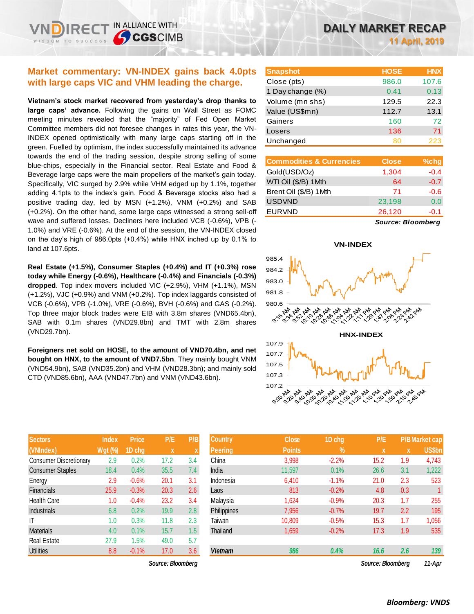## **Market commentary: VN-INDEX gains back 4.0pts with large caps VIC and VHM leading the charge.**

IN ALLIANCE WITH

**SCGSCIMB** 

**Vietnam's stock market recovered from yesterday's drop thanks to large caps' advance.** Following the gains on Wall Street as FOMC meeting minutes revealed that the "majority" of Fed Open Market Committee members did not foresee changes in rates this year, the VN-INDEX opened optimistically with many large caps starting off in the green. Fuelled by optimism, the index successfully maintained its advance towards the end of the trading session, despite strong selling of some blue-chips, especially in the Financial sector. Real Estate and Food & Beverage large caps were the main propellers of the market's gain today. Specifically, VIC surged by 2.9% while VHM edged up by 1.1%, together adding 4.1pts to the index's gain. Food & Beverage stocks also had a positive trading day, led by MSN (+1.2%), VNM (+0.2%) and SAB (+0.2%). On the other hand, some large caps witnessed a strong sell-off wave and suffered losses. Decliners here included VCB (-0.6%), VPB (- 1.0%) and VRE (-0.6%). At the end of the session, the VN-INDEX closed on the day's high of 986.0pts (+0.4%) while HNX inched up by 0.1% to land at 107.6pts.

**Real Estate (+1.5%), Consumer Staples (+0.4%) and IT (+0.3%) rose today while Energy (-0.6%), Healthcare (-0.4%) and Financials (-0.3%) dropped**. Top index movers included VIC (+2.9%), VHM (+1.1%), MSN (+1.2%), VJC (+0.9%) and VNM (+0.2%). Top index laggards consisted of VCB (-0.6%), VPB (-1.0%), VRE (-0.6%), BVH (-0.6%) and GAS (-0.2%). Top three major block trades were EIB with 3.8m shares (VND65.4bn), SAB with 0.1m shares (VND29.8bn) and TMT with 2.8m shares (VND29.7bn).

**Foreigners net sold on HOSE, to the amount of VND70.4bn, and net bought on HNX, to the amount of VND7.5bn**. They mainly bought VNM (VND54.9bn), SAB (VND35.2bn) and VHM (VND28.3bn); and mainly sold CTD (VND85.6bn), AAA (VND47.7bn) and VNM (VND43.6bn).

| <b>Sectors</b>                | <b>Index</b> | <b>Price</b> | P/E  | P/B              |
|-------------------------------|--------------|--------------|------|------------------|
| (VNIndex)                     | Wgt (%)      | 1D chg       | X    | $\boldsymbol{X}$ |
| <b>Consumer Discretionary</b> | 2.9          | 0.2%         | 17.2 | 3.4              |
| <b>Consumer Staples</b>       | 18.4         | 0.4%         | 35.5 | 7.4              |
| Energy                        | 2.9          | $-0.6%$      | 20.1 | 3.1              |
| <b>Financials</b>             | 25.9         | $-0.3%$      | 20.3 | 2.6              |
| <b>Health Care</b>            | 1.0          | $-0.4%$      | 23.2 | 3.4              |
| <b>Industrials</b>            | 6.8          | 0.2%         | 19.9 | 2.8              |
| IT                            | 1.0          | 0.3%         | 11.8 | 2.3              |
| <b>Materials</b>              | 4.0          | 0.1%         | 15.7 | 1.5              |
| <b>Real Estate</b>            | 27.9         | 1.5%         | 49.0 | 5.7              |
| <b>Utilities</b>              | 8.8          | $-0.1%$      | 17.0 | 3.6              |

| <b>Snapshot</b>  | <b>HOSE</b> | <b>HNX</b> |
|------------------|-------------|------------|
| Close (pts)      | 986.0       | 107.6      |
| 1 Day change (%) | 0.41        | 0.13       |
| Volume (mn shs)  | 129.5       | 22.3       |
| Value (US\$mn)   | 112.7       | 13.1       |
| Gainers          | 160         | 72         |
| Losers           | 136         | 71         |
| Unchanged        | 80          | 223        |

| <b>Commodities &amp; Currencies</b> | <b>Close</b> | $%$ chg |
|-------------------------------------|--------------|---------|
| Gold(USD/Oz)                        | 1,304        | $-0.4$  |
| WTI Oil (\$/B) 1 Mth                | 64           | $-0.7$  |
| Brent Oil (\$/B) 1Mth               | 71           | $-0.6$  |
| <b>USDVND</b>                       | 23,198       | 0.0     |
| <b>EURVND</b>                       | 26,120       | $-0.1$  |
|                                     |              |         |

*Source: Bloomberg*



| <b>Sectors</b>                | <b>Index</b>   | <b>Price</b> | P/E               | P/B | <b>Country</b>     | <b>Close</b>  | 1D chg        | P/E               |             | <b>P/B Market cap</b> |
|-------------------------------|----------------|--------------|-------------------|-----|--------------------|---------------|---------------|-------------------|-------------|-----------------------|
| (VNIndex)                     | <b>Wgt (%)</b> | 1D cha       | $\mathbf{x}$      |     | <b>Peering</b>     | <b>Points</b> | $\frac{9}{6}$ | $\mathbf{x}$      | $\mathbf x$ | <b>US\$bn</b>         |
| <b>Consumer Discretionary</b> | 2.9            | 0.2%         | 17.2              | 3.4 | China              | 3,998         | $-2.2%$       | 15.2              | 1.9         | 4,743                 |
| <b>Consumer Staples</b>       | 18.4           | 0.4%         | 35.5              | 7.4 | India              | 11,597        | 0.1%          | 26.6              | 3.1         | 1,222                 |
| Energy                        | 2.9            | $-0.6%$      | 20.1              | 3.1 | Indonesia          | 6,410         | $-1.1%$       | 21.0              | 2.3         | 523                   |
| <b>Financials</b>             | 25.9           | $-0.3%$      | 20.3              | 2.6 | Laos               | 813           | $-0.2%$       | 4.8               | 0.3         |                       |
| Health Care                   | 1.0            | $-0.4%$      | 23.2              | 3.4 | Malaysia           | 1,624         | $-0.9%$       | 20.3              | 1.7         | 255                   |
| Industrials                   | 6.8            | 0.2%         | 19.9              | 2.8 | <b>Philippines</b> | 7,956         | $-0.7%$       | 19.7              | 2.2         | 195                   |
| Γ                             | 1.0            | 0.3%         | 11.8              | 2.3 | Taiwan             | 10,809        | $-0.5%$       | 15.3              | 1.7         | 1,056                 |
| Materials                     | 4.0            | 0.1%         | 15.7              | 1.5 | Thailand           | 1,659         | $-0.2%$       | 17.3              | 1.9         | 535                   |
| Real Estate                   | 27.9           | 1.5%         | 49.0              | 5.7 |                    |               |               |                   |             |                       |
| Utilities                     | 8.8            | $-0.1%$      | 17.0              | 3.6 | <b>Vietnam</b>     | 986           | 0.4%          | 16.6              | 2.6         | 139                   |
|                               |                |              | Source: Bloomberg |     |                    |               |               | Source: Bloombera |             | 11-Apr                |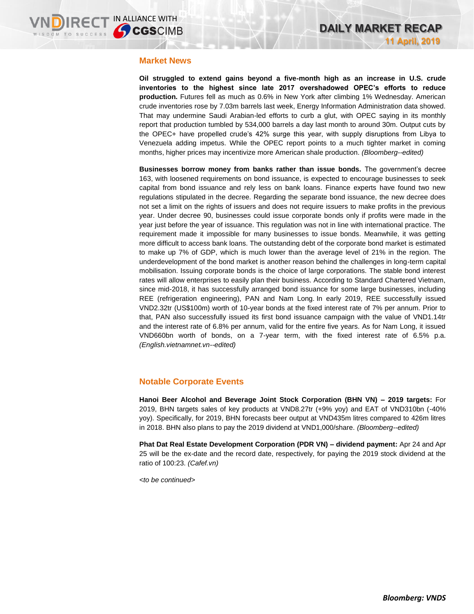### **Market News**

**Oil struggled to extend gains beyond a five-month high as an increase in U.S. crude inventories to the highest since late 2017 overshadowed OPEC's efforts to reduce production.** Futures fell as much as 0.6% in New York after climbing 1% Wednesday. American crude inventories rose by 7.03m barrels last week, Energy Information Administration data showed. That may undermine Saudi Arabian-led efforts to curb a glut, with OPEC saying in its monthly report that production tumbled by 534,000 barrels a day last month to around 30m. Output cuts by the OPEC+ have propelled crude's 42% surge this year, with supply disruptions from Libya to Venezuela adding impetus. While the OPEC report points to a much tighter market in coming months, higher prices may incentivize more American shale production. *(Bloomberg--edited)*

**Businesses borrow money from banks rather than issue bonds.** The government's decree 163, with loosened requirements on bond issuance, is expected to encourage businesses to seek capital from bond issuance and rely less on bank loans. Finance experts have found two new regulations stipulated in the decree. Regarding the separate bond issuance, the new decree does not set a limit on the rights of issuers and does not require issuers to make profits in the previous year. Under decree 90, businesses could issue corporate bonds only if profits were made in the year just before the year of issuance. This regulation was not in line with international practice. The requirement made it impossible for many businesses to issue bonds. Meanwhile, it was getting more difficult to access bank loans. The outstanding debt of the corporate bond market is estimated to make up 7% of GDP, which is much lower than the average level of 21% in the region. The underdevelopment of the bond market is another reason behind the challenges in long-term capital mobilisation. Issuing corporate bonds is the choice of large corporations. The stable bond interest rates will allow enterprises to easily plan their business. According to Standard Chartered Vietnam, since mid-2018, it has successfully arranged bond issuance for some large businesses, including REE (refrigeration engineering), PAN and Nam Long. In early 2019, REE successfully issued VND2.32tr (US\$100m) worth of 10-year bonds at the fixed interest rate of 7% per annum. Prior to that, PAN also successfully issued its first bond issuance campaign with the value of VND1.14tr and the interest rate of 6.8% per annum, valid for the entire five years. As for Nam Long, it issued VND660bn worth of bonds, on a 7-year term, with the fixed interest rate of 6.5% p.a. *(English.vietnamnet.vn--edited)*

## **Notable Corporate Events**

**Hanoi Beer Alcohol and Beverage Joint Stock Corporation (BHN VN) – 2019 targets:** For 2019, BHN targets sales of key products at VND8.27tr (+9% yoy) and EAT of VND310bn (-40% yoy). Specifically, for 2019, BHN forecasts beer output at VND435m litres compared to 426m litres in 2018. BHN also plans to pay the 2019 dividend at VND1,000/share. *(Bloomberg--edited)*

**Phat Dat Real Estate Development Corporation (PDR VN) – dividend payment:** Apr 24 and Apr 25 will be the ex-date and the record date, respectively, for paying the 2019 stock dividend at the ratio of 100:23. *(Cafef.vn)*

*<to be continued>*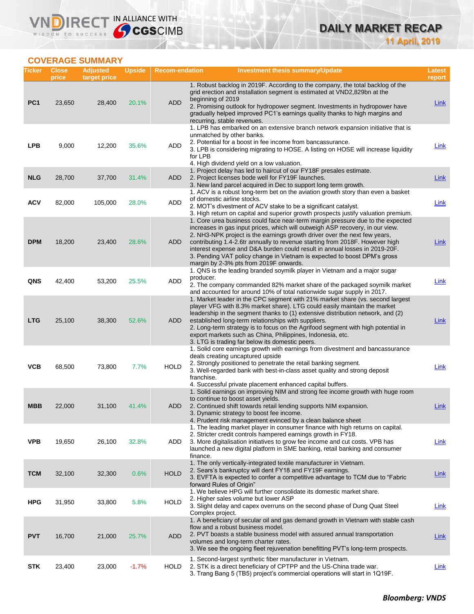## **DAILY MARKET RECAP 11 April, 2019**

## **COVERAGE SUMMARY**

VND

| Ticker          | <b>Close</b><br>price | <b>Adjusted</b><br>target price | <b>Upside</b> | <b>Recom-endation</b> | <b>Investment thesis summary/Update</b>                                                                                                                                                                                                                                                                                                                                                                                                                                                                                          | Latest<br>report |
|-----------------|-----------------------|---------------------------------|---------------|-----------------------|----------------------------------------------------------------------------------------------------------------------------------------------------------------------------------------------------------------------------------------------------------------------------------------------------------------------------------------------------------------------------------------------------------------------------------------------------------------------------------------------------------------------------------|------------------|
| PC <sub>1</sub> | 23,650                | 28,400                          | 20.1%         | <b>ADD</b>            | 1. Robust backlog in 2019F. According to the company, the total backlog of the<br>grid erection and installation segment is estimated at VND2,829bn at the<br>beginning of 2019<br>2. Promising outlook for hydropower segment. Investments in hydropower have<br>gradually helped improved PC1's earnings quality thanks to high margins and<br>recurring, stable revenues.                                                                                                                                                     | Link             |
| <b>LPB</b>      | 9,000                 | 12,200                          | 35.6%         | ADD                   | 1. LPB has embarked on an extensive branch network expansion initiative that is<br>unmatched by other banks.<br>2. Potential for a boost in fee income from bancassurance.<br>3. LPB is considering migrating to HOSE. A listing on HOSE will increase liquidity<br>for LPB<br>4. High dividend yield on a low valuation.                                                                                                                                                                                                        | <b>Link</b>      |
| <b>NLG</b>      | 28,700                | 37,700                          | 31.4%         | <b>ADD</b>            | 1. Project delay has led to haircut of our FY18F presales estimate.<br>2. Project licenses bode well for FY19F launches.<br>3. New land parcel acquired in Dec to support long term growth.                                                                                                                                                                                                                                                                                                                                      | <b>Link</b>      |
| <b>ACV</b>      | 82,000                | 105,000                         | 28.0%         | <b>ADD</b>            | 1. ACV is a robust long-term bet on the aviation growth story than even a basket<br>of domestic airline stocks.<br>2. MOT's divestment of ACV stake to be a significant catalyst.<br>3. High return on capital and superior growth prospects justify valuation premium.                                                                                                                                                                                                                                                          | Link             |
| <b>DPM</b>      | 18,200                | 23,400                          | 28.6%         | ADD                   | 1. Core urea business could face near-term margin pressure due to the expected<br>increases in gas input prices, which will outweigh ASP recovery, in our view.<br>2. NH3-NPK project is the earnings growth driver over the next few years,<br>contributing 1.4-2.6tr annually to revenue starting from 2018F. However high<br>interest expense and D&A burden could result in annual losses in 2019-20F.<br>3. Pending VAT policy change in Vietnam is expected to boost DPM's gross<br>margin by 2-3% pts from 2019F onwards. | Link             |
| QNS             | 42,400                | 53,200                          | 25.5%         | <b>ADD</b>            | 1. QNS is the leading branded soymilk player in Vietnam and a major sugar<br>producer.<br>2. The company commanded 82% market share of the packaged soymilk market<br>and accounted for around 10% of total nationwide sugar supply in 2017.                                                                                                                                                                                                                                                                                     | Link             |
| <b>LTG</b>      | 25,100                | 38,300                          | 52.6%         | <b>ADD</b>            | 1. Market leader in the CPC segment with 21% market share (vs. second largest<br>player VFG with 8.3% market share). LTG could easily maintain the market<br>leadership in the segment thanks to (1) extensive distribution network, and (2)<br>established long-term relationships with suppliers.<br>2. Long-term strategy is to focus on the Agrifood segment with high potential in<br>export markets such as China, Philippines, Indonesia, etc.<br>3. LTG is trading far below its domestic peers.                         | <b>Link</b>      |
| <b>VCB</b>      | 68,500                | 73,800                          | 7.7%          | <b>HOLD</b>           | 1. Solid core earnings growth with earnings from divestment and bancassurance<br>deals creating uncaptured upside<br>2. Strongly positioned to penetrate the retail banking segment.<br>3. Well-regarded bank with best-in-class asset quality and strong deposit<br>franchise.<br>4. Successful private placement enhanced capital buffers.                                                                                                                                                                                     | Link             |
| MBB             | 22,000                | 31,100                          | 41.4%         | ADD                   | 1. Solid earnings on improving NIM and strong fee income growth with huge room<br>to continue to boost asset yields.<br>2. Continued shift towards retail lending supports NIM expansion.<br>3. Dynamic strategy to boost fee income.<br>4. Prudent risk management evinced by a clean balance sheet                                                                                                                                                                                                                             | Link             |
| <b>VPB</b>      | 19,650                | 26,100                          | 32.8%         | ADD                   | 1. The leading market player in consumer finance with high returns on capital.<br>2. Stricter credit controls hampered earnings growth in FY18.<br>3. More digitalisation initiatives to grow fee income and cut costs. VPB has<br>launched a new digital platform in SME banking, retail banking and consumer<br>finance.                                                                                                                                                                                                       | <b>Link</b>      |
| <b>TCM</b>      | 32,100                | 32,300                          | 0.6%          | <b>HOLD</b>           | 1. The only vertically-integrated textile manufacturer in Vietnam.<br>2. Sears's bankruptcy will dent FY18 and FY19F earnings.<br>3. EVFTA is expected to confer a competitive advantage to TCM due to "Fabric"<br>forward Rules of Origin"                                                                                                                                                                                                                                                                                      | <b>Link</b>      |
| <b>HPG</b>      | 31,950                | 33,800                          | 5.8%          | <b>HOLD</b>           | 1. We believe HPG will further consolidate its domestic market share.<br>2. Higher sales volume but lower ASP<br>3. Slight delay and capex overruns on the second phase of Dung Quat Steel<br>Complex project.                                                                                                                                                                                                                                                                                                                   | $Link$           |
| <b>PVT</b>      | 16,700                | 21,000                          | 25.7%         | <b>ADD</b>            | 1. A beneficiary of secular oil and gas demand growth in Vietnam with stable cash<br>flow and a robust business model.<br>2. PVT boasts a stable business model with assured annual transportation<br>volumes and long-term charter rates.<br>3. We see the ongoing fleet rejuvenation benefitting PVT's long-term prospects.                                                                                                                                                                                                    | <b>Link</b>      |
| <b>STK</b>      | 23,400                | 23,000                          | $-1.7%$       | <b>HOLD</b>           | 1. Second-largest synthetic fiber manufacturer in Vietnam.<br>2. STK is a direct beneficiary of CPTPP and the US-China trade war.<br>3. Trang Bang 5 (TB5) project's commercial operations will start in 1Q19F.                                                                                                                                                                                                                                                                                                                  | <b>Link</b>      |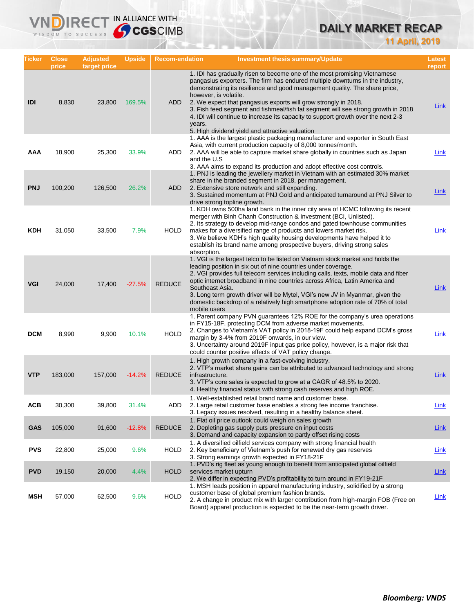# **DAILY MARKET RECAP**

**11 April, 2019**

| Ticker     | <b>Close</b><br>price | <b>Adjusted</b><br>target price | <b>Upside</b> | <b>Recom-endation</b> | <b>Investment thesis summary/Update</b>                                                                                                                                                                                                                                                                                                                                                                                                                                                                                                                                     | Latest<br>report |
|------------|-----------------------|---------------------------------|---------------|-----------------------|-----------------------------------------------------------------------------------------------------------------------------------------------------------------------------------------------------------------------------------------------------------------------------------------------------------------------------------------------------------------------------------------------------------------------------------------------------------------------------------------------------------------------------------------------------------------------------|------------------|
| IDI        | 8,830                 | 23,800                          | 169.5%        | <b>ADD</b>            | 1. IDI has gradually risen to become one of the most promising Vietnamese<br>pangasius exporters. The firm has endured multiple downturns in the industry,<br>demonstrating its resilience and good management quality. The share price,<br>however, is volatile.<br>2. We expect that pangasius exports will grow strongly in 2018.<br>3. Fish feed segment and fishmeal/fish fat segment will see strong growth in 2018<br>4. IDI will continue to increase its capacity to support growth over the next 2-3<br>years.<br>5. High dividend yield and attractive valuation | <u>Link</u>      |
| AAA        | 18,900                | 25,300                          | 33.9%         | ADD                   | 1. AAA is the largest plastic packaging manufacturer and exporter in South East<br>Asia, with current production capacity of 8,000 tonnes/month.<br>2. AAA will be able to capture market share globally in countries such as Japan<br>and the U.S.<br>3. AAA aims to expand its production and adopt effective cost controls.                                                                                                                                                                                                                                              | Link             |
| <b>PNJ</b> | 100,200               | 126,500                         | 26.2%         | ADD                   | 1. PNJ is leading the jewellery market in Vietnam with an estimated 30% market<br>share in the branded segment in 2018, per management.<br>2. Extensive store network and still expanding.<br>3. Sustained momentum at PNJ Gold and anticipated turnaround at PNJ Silver to<br>drive strong topline growth.                                                                                                                                                                                                                                                                 | <b>Link</b>      |
| KDH        | 31,050                | 33,500                          | 7.9%          | <b>HOLD</b>           | 1. KDH owns 500ha land bank in the inner city area of HCMC following its recent<br>merger with Binh Chanh Construction & Investment (BCI, Unlisted).<br>2. Its strategy to develop mid-range condos and gated townhouse communities<br>makes for a diversified range of products and lowers market risk.<br>3. We believe KDH's high quality housing developments have helped it to<br>establish its brand name among prospective buyers, driving strong sales<br>absorption.                                                                                               | Link             |
| <b>VGI</b> | 24,000                | 17,400                          | $-27.5%$      | <b>REDUCE</b>         | 1. VGI is the largest telco to be listed on Vietnam stock market and holds the<br>leading position in six out of nine countries under coverage.<br>2. VGI provides full telecom services including calls, texts, mobile data and fiber<br>optic internet broadband in nine countries across Africa, Latin America and<br>Southeast Asia.<br>3. Long term growth driver will be Mytel, VGI's new JV in Myanmar, given the<br>domestic backdrop of a relatively high smartphone adoption rate of 70% of total<br>mobile users                                                 | <b>Link</b>      |
| <b>DCM</b> | 8,990                 | 9,900                           | 10.1%         | <b>HOLD</b>           | 1. Parent company PVN guarantees 12% ROE for the company's urea operations<br>in FY15-18F, protecting DCM from adverse market movements.<br>2. Changes to Vietnam's VAT policy in 2018-19F could help expand DCM's gross<br>margin by 3-4% from 2019F onwards, in our view.<br>3. Uncertainty around 2019F input gas price policy, however, is a major risk that<br>could counter positive effects of VAT policy change.                                                                                                                                                    | <b>Link</b>      |
| <b>VTP</b> | 183,000               | 157,000                         | $-14.2%$      | <b>REDUCE</b>         | 1. High growth company in a fast-evolving industry.<br>2. VTP's market share gains can be attributed to advanced technology and strong<br>infrastructure.<br>3. VTP's core sales is expected to grow at a CAGR of 48.5% to 2020.<br>4. Healthy financial status with strong cash reserves and high ROE.                                                                                                                                                                                                                                                                     | <b>Link</b>      |
| <b>ACB</b> | 30,300                | 39,800                          | 31.4%         | ADD                   | 1. Well-established retail brand name and customer base.<br>2. Large retail customer base enables a strong fee income franchise.<br>3. Legacy issues resolved, resulting in a healthy balance sheet.                                                                                                                                                                                                                                                                                                                                                                        | Link             |
| <b>GAS</b> | 105,000               | 91,600                          | $-12.8%$      | <b>REDUCE</b>         | 1. Flat oil price outlook could weigh on sales growth<br>2. Depleting gas supply puts pressure on input costs<br>3. Demand and capacity expansion to partly offset rising costs                                                                                                                                                                                                                                                                                                                                                                                             | <b>Link</b>      |
| <b>PVS</b> | 22,800                | 25,000                          | 9.6%          | <b>HOLD</b>           | 1. A diversified oilfield services company with strong financial health<br>2. Key beneficiary of Vietnam's push for renewed dry gas reserves<br>3. Strong earnings growth expected in FY18-21F                                                                                                                                                                                                                                                                                                                                                                              | <b>Link</b>      |
| <b>PVD</b> | 19,150                | 20,000                          | 4.4%          | <b>HOLD</b>           | 1. PVD's rig fleet as young enough to benefit from anticipated global oilfield<br>services market upturn<br>2. We differ in expecting PVD's profitability to turn around in FY19-21F                                                                                                                                                                                                                                                                                                                                                                                        | <b>Link</b>      |
| <b>MSH</b> | 57,000                | 62,500                          | 9.6%          | <b>HOLD</b>           | 1. MSH leads position in apparel manufacturing industry, solidified by a strong<br>customer base of global premium fashion brands.<br>2. A change in product mix with larger contribution from high-margin FOB (Free on<br>Board) apparel production is expected to be the near-term growth driver.                                                                                                                                                                                                                                                                         | <b>Link</b>      |

**VNDIRECT IN ALLIANCE WITH**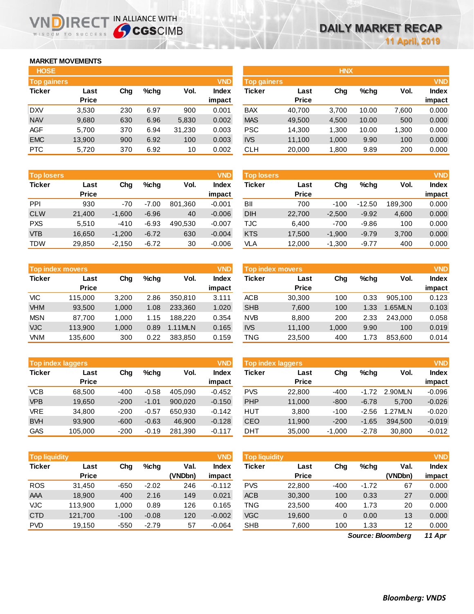## **MARKET MOVEMENTS**

IR<sub>E</sub> WISDOM TO SUCCESS

| <b>HOSE</b>        |              |     |      |        |              |
|--------------------|--------------|-----|------|--------|--------------|
| <b>Top gainers</b> |              |     |      |        | <b>VND</b>   |
| <b>Ticker</b>      | Last         | Cha | %chq | Vol.   | <b>Index</b> |
|                    | <b>Price</b> |     |      |        | impact       |
| <b>DXV</b>         | 3,530        | 230 | 6.97 | 900    | 0.001        |
| <b>NAV</b>         | 9,680        | 630 | 6.96 | 5,830  | 0.002        |
| <b>AGF</b>         | 5,700        | 370 | 6.94 | 31,230 | 0.003        |
| <b>EMC</b>         | 13,900       | 900 | 6.92 | 100    | 0.003        |
| <b>PTC</b>         | 5,720        | 370 | 6.92 | 10     | 0.002        |

IN ALLIANCE WITH

| <b>Top losers</b> |              |          |         |         | <b>VND</b>   |
|-------------------|--------------|----------|---------|---------|--------------|
| <b>Ticker</b>     | Last         | Cha      | %chq    | Vol.    | <b>Index</b> |
|                   | <b>Price</b> |          |         |         | impact       |
| <b>PPI</b>        | 930          | $-70$    | $-7.00$ | 801,360 | $-0.001$     |
| <b>CLW</b>        | 21,400       | $-1,600$ | $-6.96$ | 40      | $-0.006$     |
| <b>PXS</b>        | 5,510        | $-410$   | $-6.93$ | 490,530 | $-0.007$     |
| <b>VTB</b>        | 16,650       | $-1,200$ | $-6.72$ | 630     | $-0.004$     |
| <b>TDW</b>        | 29.850       | $-2,150$ | $-6.72$ | 30      | $-0.006$     |

| <b>Top index movers</b> |              |       |         |         |              |  |  |  |
|-------------------------|--------------|-------|---------|---------|--------------|--|--|--|
| <b>Ticker</b>           | Last         | Cha   | $%$ chq | Vol.    | <b>Index</b> |  |  |  |
|                         | <b>Price</b> |       |         |         | impact       |  |  |  |
| <b>VIC</b>              | 115,000      | 3,200 | 2.86    | 350,810 | 3.111        |  |  |  |
| <b>VHM</b>              | 93,500       | 1,000 | 1.08    | 233,360 | 1.020        |  |  |  |
| <b>MSN</b>              | 87,700       | 1,000 | 1.15    | 188.220 | 0.354        |  |  |  |
| <b>VJC</b>              | 113,900      | 1,000 | 0.89    | 1.11MLN | 0.165        |  |  |  |
| VNM                     | 135,600      | 300   | 0.22    | 383,850 | 0.159        |  |  |  |

| <b>Top index laggers</b> |              |        | <b>VND</b> |         |              |
|--------------------------|--------------|--------|------------|---------|--------------|
| <b>Ticker</b>            | Last         | Cha    | %chq       | Vol.    | <b>Index</b> |
|                          | <b>Price</b> |        |            |         | impact       |
| VCB                      | 68,500       | $-400$ | $-0.58$    | 405,090 | $-0.452$     |
| <b>VPB</b>               | 19,650       | $-200$ | $-1.01$    | 900.020 | $-0.150$     |
| <b>VRE</b>               | 34.800       | $-200$ | $-0.57$    | 650.930 | $-0.142$     |
| <b>BVH</b>               | 93,900       | $-600$ | $-0.63$    | 46.900  | $-0.128$     |
| <b>GAS</b>               | 105,000      | $-200$ | $-0.19$    | 281,390 | $-0.117$     |

| <b>VND</b><br><b>Top liquidity</b> |              |        |         |         |              |  |  |  |
|------------------------------------|--------------|--------|---------|---------|--------------|--|--|--|
| <b>Ticker</b>                      | Last         | Cha    | %chq    | Val.    | <b>Index</b> |  |  |  |
|                                    | <b>Price</b> |        |         | (VNDbn) | impact       |  |  |  |
| <b>ROS</b>                         | 31,450       | -650   | $-2.02$ | 246     | $-0.112$     |  |  |  |
| AAA                                | 18,900       | 400    | 2.16    | 149     | 0.021        |  |  |  |
| <b>VJC</b>                         | 113,900      | 1,000  | 0.89    | 126     | 0.165        |  |  |  |
| <b>CTD</b>                         | 121,700      | $-100$ | $-0.08$ | 120     | $-0.002$     |  |  |  |
| <b>PVD</b>                         | 19,150       | $-550$ | $-2.79$ | 57      | $-0.064$     |  |  |  |

| <b>HOSE</b>        |              |     |         |        |              |                    |              | <b>HNX</b> |       |       |              |
|--------------------|--------------|-----|---------|--------|--------------|--------------------|--------------|------------|-------|-------|--------------|
| <b>Top gainers</b> |              |     |         |        | <b>VND</b>   | <b>Top gainers</b> |              |            |       |       | <b>VND</b>   |
| Ticker             | Last         | Chg | $%$ chq | Vol.   | <b>Index</b> | Ticker             | Last         | Chg        | %chq  | Vol.  | <b>Index</b> |
|                    | <b>Price</b> |     |         |        | impact       |                    | <b>Price</b> |            |       |       | impact       |
| <b>DXV</b>         | 3,530        | 230 | 6.97    | 900    | 0.001        | <b>BAX</b>         | 40,700       | 3,700      | 10.00 | 7,600 | 0.000        |
| <b>NAV</b>         | 9,680        | 630 | 6.96    | 5,830  | 0.002        | <b>MAS</b>         | 49,500       | 4,500      | 10.00 | 500   | 0.000        |
| AGF                | 5,700        | 370 | 6.94    | 31,230 | 0.003        | <b>PSC</b>         | 14,300       | 1.300      | 10.00 | 1,300 | 0.000        |
| <b>EMC</b>         | 13,900       | 900 | 6.92    | 100    | 0.003        | <b>IVS</b>         | 11,100       | 1,000      | 9.90  | 100   | 0.000        |
| <b>PTC</b>         | 5,720        | 370 | 6.92    | 10     | 0.002        | <b>CLH</b>         | 20,000       | 1,800      | 9.89  | 200   | 0.000        |
|                    |              |     |         |        |              |                    |              |            |       |       |              |

| <b>Top losers</b> |                      |          |         |         | <b>VND</b>             | <b>Top losers</b> |                      |          |          |         | <b>VND</b>             |
|-------------------|----------------------|----------|---------|---------|------------------------|-------------------|----------------------|----------|----------|---------|------------------------|
| Ticker            | Last<br><b>Price</b> | Chg      | $%$ chq | Vol.    | <b>Index</b><br>impact | Ticker            | Last<br><b>Price</b> | Chg      | $%$ chq  | Vol.    | <b>Index</b><br>impact |
| PPI               | 930                  | -70      | $-7.00$ | 801.360 | $-0.001$               | BII               | 700                  | $-100$   | $-12.50$ | 189.300 | 0.000                  |
| <b>CLW</b>        | 21,400               | $-1,600$ | $-6.96$ | 40      | $-0.006$               | <b>DIH</b>        | 22,700               | $-2,500$ | $-9.92$  | 4,600   | 0.000                  |
| <b>PXS</b>        | 5,510                | $-410$   | $-6.93$ | 490.530 | $-0.007$               | TJC               | 6,400                | $-700$   | $-9.86$  | 100     | 0.000                  |
| <b>VTB</b>        | 16,650               | $-1,200$ | $-6.72$ | 630     | $-0.004$               | <b>KTS</b>        | 17,500               | $-1,900$ | $-9.79$  | 3,700   | 0.000                  |
| TDW               | 29,850               | $-2,150$ | $-6.72$ | 30      | $-0.006$               | VLA               | 12,000               | $-1,300$ | $-9.77$  | 400     | 0.000                  |
|                   |                      |          |         |         |                        |                   |                      |          |          |         |                        |

|            | Top index movers |       |         |         | <b>VND</b> | Top index movers |              |       |         |         |              |  |
|------------|------------------|-------|---------|---------|------------|------------------|--------------|-------|---------|---------|--------------|--|
| Ticker     | Last             | Chg   | $%$ chq | Vol.    | Index      | Ticker           | Last         | Chg   | $%$ chq | Vol.    | <b>Index</b> |  |
|            | <b>Price</b>     |       |         |         | impact     |                  | <b>Price</b> |       |         |         | impact       |  |
| VIC        | 115,000          | 3.200 | 2.86    | 350.810 | 3.111      | <b>ACB</b>       | 30,300       | 100   | 0.33    | 905.100 | 0.123        |  |
| <b>VHM</b> | 93,500           | 1,000 | 1.08    | 233.360 | 1.020      | <b>SHB</b>       | 7,600        | 100   | 1.33    | .65MLN  | 0.103        |  |
| <b>MSN</b> | 87.700           | 1.000 | 1.15    | 188.220 | 0.354      | <b>NVB</b>       | 8.800        | 200   | 2.33    | 243.000 | 0.058        |  |
| <b>VJC</b> | 113,900          | 1.000 | 0.89    | 1.11MLN | 0.165      | <b>IVS</b>       | 11,100       | 1.000 | 9.90    | 100     | 0.019        |  |
| <b>VNM</b> | 135,600          | 300   | 0.22    | 383.850 | 0.159      | TNG              | 23,500       | 400   | 1.73    | 853.600 | 0.014        |  |

|            | <b>Top index laggers</b> |        |         |         | <b>VND</b> | <b>Top index laggers</b> |              |          |         |         | <b>VND</b>   |
|------------|--------------------------|--------|---------|---------|------------|--------------------------|--------------|----------|---------|---------|--------------|
| Ticker     | Last                     | Chg    | $%$ chq | Vol.    | Index      | Ticker                   | Last         | Chg      | $%$ chq | Vol.    | <b>Index</b> |
|            | <b>Price</b>             |        |         |         | impact     |                          | <b>Price</b> |          |         |         | impact       |
| <b>VCB</b> | 68.500                   | $-400$ | $-0.58$ | 405.090 | $-0.452$   | <b>PVS</b>               | 22,800       | $-400$   | $-1.72$ | 2.90MLN | $-0.096$     |
| <b>VPB</b> | 19.650                   | $-200$ | $-1.01$ | 900.020 | $-0.150$   | <b>PHP</b>               | 11,000       | $-800$   | $-6.78$ | 5.700   | $-0.026$     |
| <b>VRE</b> | 34,800                   | $-200$ | $-0.57$ | 650.930 | $-0.142$   | HUT                      | 3,800        | $-100$   | $-2.56$ | .27MLN  | $-0.020$     |
| <b>BVH</b> | 93.900                   | $-600$ | $-0.63$ | 46.900  | $-0.128$   | <b>CEO</b>               | 11,900       | $-200$   | $-1.65$ | 394.500 | $-0.019$     |
| GAS        | 105.000                  | $-200$ | $-0.19$ | 281.390 | $-0.117$   | DHT                      | 35,000       | $-1.000$ | $-2.78$ | 30,800  | $-0.012$     |

| <b>Top liquidity</b> |              |        |         |         | <b>VND</b>   | <b>Top liquidity</b> |              |        |         |                   | <b>VND</b>   |
|----------------------|--------------|--------|---------|---------|--------------|----------------------|--------------|--------|---------|-------------------|--------------|
| Ticker               | Last         | Chg    | $%$ chq | Val.    | <b>Index</b> | Ticker               | Last         | Chg    | $%$ chq | Val.              | <b>Index</b> |
|                      | <b>Price</b> |        |         | (VNDbn) | impact       |                      | <b>Price</b> |        |         | (VNDbn)           | impact       |
| <b>ROS</b>           | 31.450       | $-650$ | $-2.02$ | 246     | $-0.112$     | <b>PVS</b>           | 22,800       | $-400$ | $-1.72$ | 67                | 0.000        |
| AAA                  | 18,900       | 400    | 2.16    | 149     | 0.021        | <b>ACB</b>           | 30,300       | 100    | 0.33    | 27                | 0.000        |
| VJC                  | 113.900      | 1.000  | 0.89    | 126     | 0.165        | TNG                  | 23,500       | 400    | 1.73    | 20                | 0.000        |
| <b>CTD</b>           | 121,700      | $-100$ | $-0.08$ | 120     | $-0.002$     | <b>VGC</b>           | 19,600       | 0      | 0.00    | 13                | 0.000        |
| <b>PVD</b>           | 19,150       | $-550$ | $-2.79$ | 57      | $-0.064$     | <b>SHB</b>           | 7,600        | 100    | 1.33    | 12                | 0.000        |
|                      |              |        |         |         |              |                      |              |        |         | Source: Bloomberg | 11 Apr       |

*11 Apr Source: Bloomberg*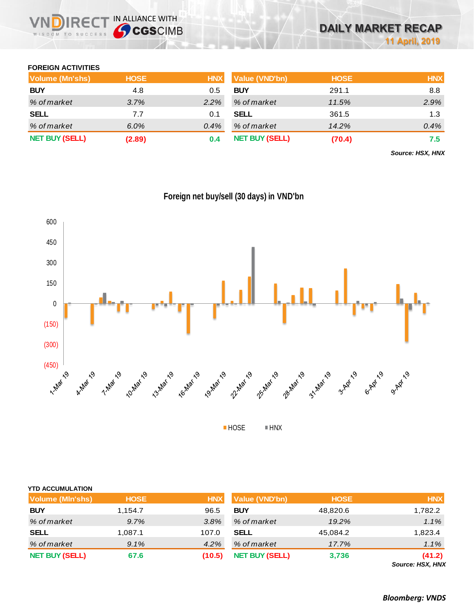## **FOREIGN ACTIVITIES**

| Volume (Mn'shs)       | <b>HOSE</b> | <b>HNX</b> | Value (VND'bn)        | <b>HOSE</b> | <b>HNX</b> |
|-----------------------|-------------|------------|-----------------------|-------------|------------|
| <b>BUY</b>            | 4.8         | 0.5        | <b>BUY</b>            | 291.1       | 8.8        |
| % of market           | 3.7%        | $2.2\%$    | % of market           | 11.5%       | 2.9%       |
| <b>SELL</b>           | 7.7         | 0.1        | <b>SELL</b>           | 361.5       | 1.3        |
| % of market           | $6.0\%$     | 0.4%       | % of market           | 14.2%       | 0.4%       |
| <b>NET BUY (SELL)</b> | (2.89)      | 0.4        | <b>NET BUY (SELL)</b> | (70.4)      | 7.5        |

*Source: HSX, HNX*



## **Foreign net buy/sell (30 days) in VND'bn**

| <b>YTD ACCUMULATION</b> |             |            |                       |             |                           |
|-------------------------|-------------|------------|-----------------------|-------------|---------------------------|
| Volume (MIn'shs)        | <b>HOSE</b> | <b>HNX</b> | Value (VND'bn)        | <b>HOSE</b> | <b>HNX</b>                |
| <b>BUY</b>              | 1,154.7     | 96.5       | <b>BUY</b>            | 48,820.6    | 1,782.2                   |
| % of market             | 9.7%        | 3.8%       | % of market           | 19.2%       | $1.1\%$                   |
| <b>SELL</b>             | 1,087.1     | 107.0      | <b>SELL</b>           | 45,084.2    | 1,823.4                   |
| % of market             | $9.1\%$     | 4.2%       | % of market           | 17.7%       | $1.1\%$                   |
| <b>NET BUY (SELL)</b>   | 67.6        | (10.5)     | <b>NET BUY (SELL)</b> | 3,736       | (41.2)<br>$0.110M$ $110M$ |

*Source: HSX, HNX*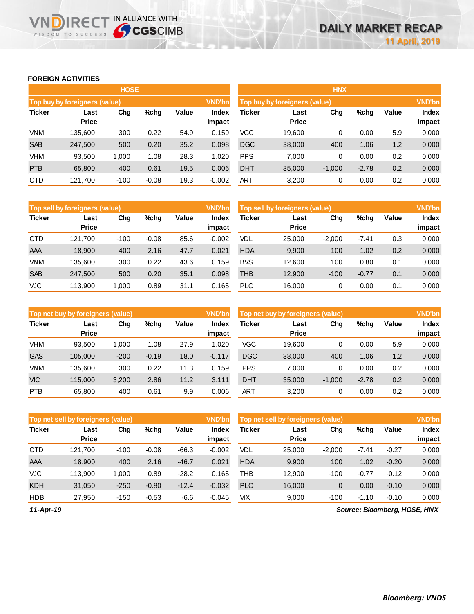## **FOREIGN ACTIVITIES**

WISDOM TO SUCCESS

**VNDIRECT IN ALLIANCE WITH** 

|               |                               | <b>HOSE</b> |         |       |                 | <b>HNX</b>                    |                      |          |         |       |                 |  |
|---------------|-------------------------------|-------------|---------|-------|-----------------|-------------------------------|----------------------|----------|---------|-------|-----------------|--|
|               | Top buy by foreigners (value) |             |         |       | <b>VND'bn</b>   | Top buy by foreigners (value) | <b>VND'bn</b>        |          |         |       |                 |  |
| <b>Ticker</b> | Last<br><b>Price</b>          | Chg         | $%$ chg | Value | Index<br>impact | Ticker                        | Last<br><b>Price</b> | Chg      | %chg    | Value | Index<br>impact |  |
| <b>VNM</b>    | 135.600                       | 300         | 0.22    | 54.9  | 0.159           | VGC                           | 19,600               | 0        | 0.00    | 5.9   | 0.000           |  |
| <b>SAB</b>    | 247,500                       | 500         | 0.20    | 35.2  | 0.098           | <b>DGC</b>                    | 38,000               | 400      | 1.06    | 1.2   | 0.000           |  |
| <b>VHM</b>    | 93,500                        | 1,000       | 1.08    | 28.3  | 1.020           | <b>PPS</b>                    | 7,000                | 0        | 0.00    | 0.2   | 0.000           |  |
| <b>PTB</b>    | 65,800                        | 400         | 0.61    | 19.5  | 0.006           | <b>DHT</b>                    | 35,000               | $-1,000$ | $-2.78$ | 0.2   | 0.000           |  |
| <b>CTD</b>    | 121,700                       | $-100$      | $-0.08$ | 19.3  | $-0.002$        | ART                           | 3,200                | 0        | 0.00    | 0.2   | 0.000           |  |

|               | Top sell by foreigners (value) |        |         |       |                 | Top sell by foreigners (value)<br><b>VND'bn</b> |                      |          |         |       |                        |
|---------------|--------------------------------|--------|---------|-------|-----------------|-------------------------------------------------|----------------------|----------|---------|-------|------------------------|
| <b>Ticker</b> | Last<br><b>Price</b>           | Chg    | $%$ chq | Value | Index<br>impact | Ticker                                          | Last<br><b>Price</b> | Chg      | %chg    | Value | <b>Index</b><br>impact |
| <b>CTD</b>    | 121.700                        | $-100$ | $-0.08$ | 85.6  | $-0.002$        | <b>VDL</b>                                      | 25,000               | $-2.000$ | $-7.41$ | 0.3   | 0.000                  |
| AAA           | 18,900                         | 400    | 2.16    | 47.7  | 0.021           | <b>HDA</b>                                      | 9,900                | 100      | 1.02    | 0.2   | 0.000                  |
| <b>VNM</b>    | 135,600                        | 300    | 0.22    | 43.6  | 0.159           | <b>BVS</b>                                      | 12,600               | 100      | 0.80    | 0.1   | 0.000                  |
| <b>SAB</b>    | 247.500                        | 500    | 0.20    | 35.1  | 0.098           | THB                                             | 12,900               | $-100$   | $-0.77$ | 0.1   | 0.000                  |
| <b>VJC</b>    | 113,900                        | 1,000  | 0.89    | 31.1  | 0.165           | <b>PLC</b>                                      | 16,000               | 0        | 0.00    | 0.1   | 0.000                  |

|               | Top net buy by foreigners (value) |        |         |       | <b>VND'bn</b> | Top net buy by foreigners (value) |                      |          |         |       |              |
|---------------|-----------------------------------|--------|---------|-------|---------------|-----------------------------------|----------------------|----------|---------|-------|--------------|
| <b>Ticker</b> | Last<br><b>Price</b>              | Chg    | $%$ chg | Value | Index         | <b>Ticker</b>                     | Last<br><b>Price</b> | Chg      | %chg    | Value | <b>Index</b> |
|               |                                   |        |         |       | impact        |                                   |                      |          |         |       | impact       |
| <b>VHM</b>    | 93.500                            | 1.000  | 1.08    | 27.9  | 1.020         | <b>VGC</b>                        | 19.600               | 0        | 0.00    | 5.9   | 0.000        |
| <b>GAS</b>    | 105.000                           | $-200$ | $-0.19$ | 18.0  | $-0.117$      | <b>DGC</b>                        | 38,000               | 400      | 1.06    | 1.2   | 0.000        |
| <b>VNM</b>    | 135.600                           | 300    | 0.22    | 11.3  | 0.159         | <b>PPS</b>                        | 7.000                | 0        | 0.00    | 0.2   | 0.000        |
| <b>VIC</b>    | 115.000                           | 3,200  | 2.86    | 11.2  | 3.111         | <b>DHT</b>                        | 35,000               | $-1,000$ | $-2.78$ | 0.2   | 0.000        |
| <b>PTB</b>    | 65.800                            | 400    | 0.61    | 9.9   | 0.006         | <b>ART</b>                        | 3.200                | 0        | 0.00    | 0.2   | 0.000        |

|               | Top net sell by foreigners (value) |        |         |         | <b>VND'bn</b><br>Top net sell by foreigners (value) |            |                      |                |         |         | <b>VND'bn</b>          |  |  |
|---------------|------------------------------------|--------|---------|---------|-----------------------------------------------------|------------|----------------------|----------------|---------|---------|------------------------|--|--|
| <b>Ticker</b> | Last<br><b>Price</b>               | Chg    | $%$ chg | Value   | Index<br>impact                                     | Ticker     | Last<br><b>Price</b> | Chg            | %chg    | Value   | <b>Index</b><br>impact |  |  |
| <b>CTD</b>    | 121,700                            | $-100$ | $-0.08$ | $-66.3$ | $-0.002$                                            | VDL        | 25,000               | $-2,000$       | $-7.41$ | $-0.27$ | 0.000                  |  |  |
| <b>AAA</b>    | 18,900                             | 400    | 2.16    | $-46.7$ | 0.021                                               | <b>HDA</b> | 9,900                | 100            | 1.02    | $-0.20$ | 0.000                  |  |  |
| VJC           | 113.900                            | 000.1  | 0.89    | $-28.2$ | 0.165                                               | <b>THB</b> | 12.900               | $-100$         | $-0.77$ | $-0.12$ | 0.000                  |  |  |
| <b>KDH</b>    | 31,050                             | $-250$ | $-0.80$ | $-12.4$ | $-0.032$                                            | <b>PLC</b> | 16,000               | $\overline{0}$ | 0.00    | $-0.10$ | 0.000                  |  |  |
| <b>HDB</b>    | 27,950                             | $-150$ | $-0.53$ | -6.6    | $-0.045$                                            | VIX        | 9,000                | $-100$         | $-1.10$ | $-0.10$ | 0.000                  |  |  |

*11-Apr-19*

*Source: Bloomberg, HOSE, HNX*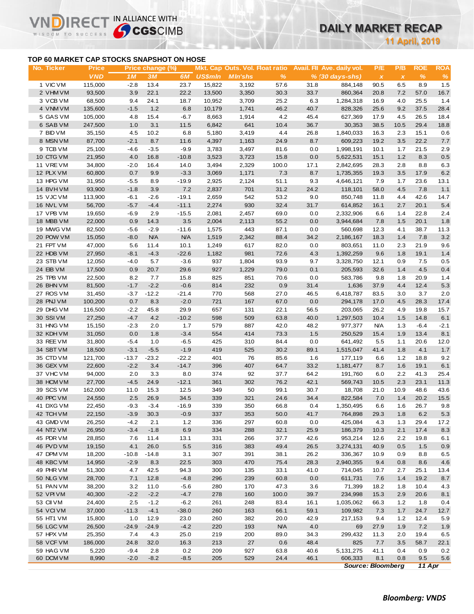## **DAILY MARKET RECAP**

**11 April, 2019**

## **TOP 60 MARKET CAP STOCKS SNAPSHOT ON HOSE**

IR<sub>E</sub>

IN ALLIANCE WITH

|                                           |                            |         |                        |               |                |                                                   |               |              |                                                           |                                  | <b>11 April, 2019</b> |                    |                    |
|-------------------------------------------|----------------------------|---------|------------------------|---------------|----------------|---------------------------------------------------|---------------|--------------|-----------------------------------------------------------|----------------------------------|-----------------------|--------------------|--------------------|
| TOP 60 MARKET CAP STOCKS SNAPSHOT ON HOSE |                            |         |                        |               |                |                                                   |               |              |                                                           |                                  |                       |                    |                    |
| No. Ticker                                | <b>Price</b><br><b>VND</b> | 1M      | Price change (%)<br>3M | 6M            | <b>US\$mln</b> | Mkt. Cap Outs. Vol. Float ratio<br><b>MIn'shs</b> | $\frac{9}{6}$ |              | Avail. Fil Ave. daily vol.<br>$% (30 \, \text{days-shs})$ | P/E<br>$\boldsymbol{\mathsf{x}}$ | P/B<br>$\pmb{\chi}$   | <b>ROE</b><br>$\%$ | <b>ROA</b><br>$\%$ |
| 1 VIC VM                                  | 115,000                    | $-2.8$  | 13.4                   | 23.7          | 15,822         | 3,192                                             | 57.6          | 31.8         | 884,148                                                   | 90.5                             | 6.5                   | 8.9                | 1.5                |
| 2 VHM VM                                  | 93,500                     | 3.9     | 22.1                   | 22.2          | 13,500         | 3,350                                             | 30.3          | 33.7         | 860,364                                                   | 20.8                             | 7.2                   | 57.0               | 16.7               |
| 3 VCB VM                                  | 68,500                     | 9.4     | 24.1                   | 18.7          | 10,952         | 3,709                                             | 25.2          | 6.3          | 1,284,318                                                 | 16.9                             | 4.0                   | 25.5               | 1.4                |
| 4 VNM VM                                  | 135,600                    | $-1.5$  | $1.2$                  | 6.8           | 10,179         | 1,741                                             | 46.2          | 40.7         | 828,326                                                   | 25.6                             | 9.2                   | 37.5               | 28.4               |
| 5 GAS VM                                  | 105,000                    | 4.8     | 15.4                   | $-6.7$        | 8,663          | 1,914                                             | 4.2           | 45.4         | 627,369                                                   | 17.9                             | 4.5                   | 26.5               | 18.4               |
| 6 SAB VM                                  | 247,500                    | 1.0     | 3.1                    | 11.5          | 6,842          | 641                                               | 10.4          | 36.7         | 30,353                                                    | 38.5                             | 10.5                  | 29.4               | 18.8               |
| 7 BID VM                                  | 35,150                     | 4.5     | 10.2                   | 6.8           | 5,180          | 3,419                                             | 4.4           | 26.8         | 1,840,033                                                 | 16.3                             | 2.3                   | 15.1               | 0.6                |
| 8 MSN VM                                  | 87,700                     | $-2.1$  | 8.7                    | 11.6          | 4,397          | 1,163                                             | 24.9          | 8.7          | 609,223                                                   | 19.2                             | 3.5                   | 22.2               | 7.7                |
| 9 TCB VM                                  | 25,100                     | $-4.6$  | $-3.5$                 | $-9.9$        | 3,783          | 3,497                                             | 81.6          | 0.0          | 1,998,191                                                 | 10.1                             | 1.7                   | 21.5               | 2.9                |
| 10 CTG VM                                 | 21,950                     | 4.0     | 16.8                   | $-10.8$       | 3,523          | 3,723                                             | 15.8          | 0.0          | 5,622,531                                                 | 15.1                             | 1.2                   | 8.3                | $0.5\,$            |
| 11 VRE VM                                 | 34,800                     | $-2.0$  | 16.4                   | 14.0          | 3,494          | 2,329                                             | 100.0         | 17.1         | 2,842,695                                                 | 28.3                             | 2.8                   | 8.8                | 6.3                |
| 12 PLX VM                                 | 60,800                     | 0.7     | 9.9                    | $-3.3$        | 3,069          | 1,171                                             | 7.3           | 8.7          | 1,735,355                                                 | 19.3                             | 3.5                   | 17.9               | 6.2                |
| 13 HPG VM                                 | 31,950                     | $-5.5$  | 8.9                    | $-19.9$       | 2,925          | 2,124                                             | 51.1          | 9.3          | 4,646,121                                                 | 7.9                              | 1.7                   | 23.6               | 13.1               |
| 14 BVHVM                                  | 93,900                     | $-1.8$  | 3.9                    | 7.2           | 2,837          | 701                                               | 31.2          | 24.2         | 118,101                                                   | 58.0                             | 4.5                   | 7.8                | $1.1$              |
| 15 VJC VM                                 | 113,900                    | $-6.1$  | $-2.6$                 | $-19.1$       | 2,659          | 542                                               | 53.2          | 9.0          | 850,748                                                   | 11.8                             | 4.4                   | 42.6               | 14.7               |
| 16 NVL VM                                 | 56,700                     | $-5.7$  | $-4.4$                 | $-11.1$       | 2,274          | 930                                               | 32.4          | 31.7         | 614,852                                                   | 16.1                             | 2.7                   | 20.1               | 5.4                |
| 17 VPB VM                                 | 19,650                     | $-6.9$  | 2.9                    | $-15.5$       | 2,081          | 2,457                                             | 69.0          | 0.0          | 2,332,906                                                 | 6.6                              | 1.4                   | 22.8               | 2.4                |
| 18 MBB VM                                 | 22,000                     | 0.9     | 14.3                   | 3.5           | 2,004          | 2,113                                             | 55.2          | 0.0          | 3,944,684                                                 | 7.8                              | 1.5                   | 20.1               | 1.8                |
| 19 MWG VM                                 | 82,500                     | $-5.6$  | $-2.9$                 | $-11.6$       | 1,575          | 443                                               | 87.1          | 0.0          | 560,698                                                   | 12.3                             | 4.1                   | 38.7               | 11.3               |
| 20 POW VM                                 | 15,050                     | $-8.0$  | <b>N/A</b>             | <b>N/A</b>    | 1,519          | 2,342                                             | 88.4          | 34.2         | 2,186,167                                                 | 18.3                             | 1.4                   | 7.8                | 3.2                |
| 21 FPT VM                                 | 47,000                     | 5.6     | 11.4                   | 10.1          | 1,249          | 617                                               | 82.0          | 0.0          | 803,651                                                   | 11.0                             | 2.3                   | 21.9               | 9.6                |
| 22 HDB VM                                 | 27,950                     | $-8.1$  | $-4.3$                 | $-22.6$       | 1,182          | 981                                               | 72.6          | 4.3          | 1,392,259                                                 | 9.6                              | 1.8                   | 19.1               | $1.4$              |
| 23 STB VM                                 | 12,050                     | $-4.0$  | 5.7                    | $-3.6$        | 937            | 1,804                                             | 93.9          | 9.7          | 3,328,750                                                 | 12.1                             | 0.9                   | 7.5                | 0.5                |
| 24 EIB VM                                 | 17,500                     | 0.9     | 20.7                   | 29.6          | 927            | 1,229                                             | 79.0          | 0.1          | 205,593                                                   | 32.6                             | 1.4                   | 4.5                | 0.4                |
| 25 TPB VM                                 | 22,500                     | 8.2     | 7.7                    | 15.8          | 825            | 851                                               | 70.6          | 0.0          | 583,786                                                   | 9.8                              | 1.8                   | 20.9               | 1.4                |
| 26 BHN VM                                 | 81,500                     | $-1.7$  | $-2.2$                 | $-0.6$        | 814            | 232                                               | 0.9           | 31.4         | 1,636                                                     | 37.9                             | 4.4                   | 12.4               | 5.3                |
| 27 ROS VM                                 | 31,450                     | $-3.7$  | $-12.2$                | $-21.4$       | 770            | 568                                               | 27.0          | 46.5         | 6,418,787                                                 | 83.5                             | 3.0                   | 3.7                | 2.0                |
| 28 PNJ VM                                 | 100,200                    | 0.7     | 8.3                    | $-2.0$        | 721            | 167                                               | 67.0          | 0.0          | 294,178                                                   | 17.0                             | 4.5                   | 28.3               | 17.4               |
| 29 DHG VM                                 | 116,500                    | $-2.2$  | 45.8                   | 29.9          | 657            | 131                                               | 22.1          | 56.5         | 203,065                                                   | 26.2                             | 4.9                   | 19.8               | 15.7               |
| 30 SSIVM                                  | 27,250                     | $-4.7$  | 4.2                    | $-10.2$       | 598            | 509                                               | 63.8          | 40.0         | 1,297,503                                                 | 10.4                             | 1.5                   | 14.8               | 6.1                |
| 31 HNG VM                                 | 15,150                     | $-2.3$  | 2.0                    | 1.7           | 579            | 887                                               | 42.0          | 48.2         | 977,377                                                   | <b>N/A</b>                       | 1.3                   | $-6.4$             | $-2.1$             |
| 32 KDH VM                                 | 31,050                     | 0.0     | 1.8                    | $-3.4$        | 554            | 414                                               | 73.3          | 1.5          | 250,529                                                   | 15.4                             | 1.9                   | 13.4               | 8.1                |
| 33 REE VM                                 | 31,800                     | $-5.4$  | 1.0                    | $-6.5$        | 425            | 310                                               | 84.4          | 0.0          | 641,492                                                   | 5.5                              | 1.1                   | 20.6               | 12.0               |
| 34 SBT VM                                 | 18,500                     | $-3.1$  | $-5.5$                 | $-1.9$        | 419            | 525                                               | 30.2          | 89.1         | 1,515,047                                                 | 41.4                             | 1.8                   | 4.1                | 1.7                |
| 35 CTD VM                                 | 121,700                    | $-13.7$ | $-23.2$                | $-22.2$       | 401            | 76                                                | 85.6          | 1.6          | 177,119                                                   | 6.6                              | $1.2$                 | 18.8               | 9.2                |
| 36 GEX VM                                 | 22,600                     | $-2.2$  | 3.4                    | $-14.7$       | 396            | 407                                               | 64.7          | 33.2         | 1,181,477                                                 | 8.7                              | 1.6                   | 19.1               | 6.1                |
| 37 VHC VM                                 | 94,000                     | 2.0     | 3.3                    | 8.0           | 374            | 92                                                | 37.7          | 64.2         | 191,760                                                   | 6.0                              | 2.2                   | 41.3               | 25.4               |
| 38 HCM VM                                 | 27,700                     | $-4.5$  | 24.9                   | $-12.1$       | 361            | 302                                               | 76.2          | 42.1         | 569,743                                                   | 10.5                             | 2.3                   | 23.1               | 11.3               |
| 39 SCS VM                                 | 162,000                    | 11.0    | 15.3                   | 12.5          | 349            | 50                                                | 99.1          | 30.7         | 18,708                                                    | 21.0                             | 10.9                  | 48.6               | 43.6               |
| 40 PPC VM                                 | 24,550                     | 2.5     | 26.9                   | 34.5          | 339            | 321                                               | 24.6          | 34.4         | 822,584                                                   | 7.0                              | 1.4                   | 20.2               | 15.5               |
| 41 DXG VM                                 | 22,450                     | $-9.3$  | $-3.4$                 | $-16.9$       | 339            | 350                                               | 66.8          | 0.4          | 1,350,495                                                 | 6.6                              | 1.6                   | 26.7               | 9.8                |
| 42 TCH VM                                 | 22,150                     | $-3.9$  | 30.3                   | $-0.9$        | 337            | 353                                               | 50.0          | 41.7         | 764,898                                                   | 29.3                             | 1.8                   | 6.2                | 5.3                |
| 43 GMD VM                                 | 26,250                     | $-4.2$  | 2.1                    | 1.2           | 336            | 297                                               | 60.8          | 0.0          | 425,084                                                   | 4.3                              | 1.3                   | 29.4               | 17.2               |
| 44 NT2 VM                                 | 26,950                     | $-3.4$  | $-1.8$                 | 6.9           | 334            | 288                                               | 32.1          | 25.9         | 186,379                                                   | 10.3                             | 2.1                   | 17.4               | 8.3                |
| 45 PDR VM                                 | 28,850                     | 7.6     | 11.4                   | 13.1          | 331            | 266                                               | 37.7          | 42.6         | 953,214                                                   | 12.6                             | 2.2                   | 19.8               | 6.1                |
| 46 PVD VM                                 | 19,150                     | 4.1     | 26.0                   | 5.5           | 316            | 383                                               | 49.4          | 26.5         | 3,274,131                                                 | 40.9                             | 0.5                   | 1.5                | 0.9                |
| 47 DPM VM                                 | 18,200                     | $-10.8$ | $-14.8$                | 3.1           | 307            | 391                                               | 38.1          | 26.2         | 336,367                                                   | 10.9                             | 0.9                   | 8.8                | 6.5                |
| 48 KBC VM                                 | 14,950                     | $-2.9$  | 8.3                    | 22.5          | 303            | 470                                               | 75.4          | 28.3         | 2,940,355                                                 | 9.4                              | 0.8                   | 8.6                | 4.6                |
| 49 PHR VM                                 | 51,300                     | 4.7     | 42.5                   | 94.3          | 300            | 135                                               | 33.1          | 41.0         | 714,045                                                   | 10.7                             | 2.7                   | 25.1               | 13.4               |
| 50 NLG VM                                 | 28,700                     | 7.1     | 12.8                   | $-4.8$        | 296            | 239                                               | 60.8          | 0.0          | 611,731                                                   | 7.6                              | 1.4                   | 19.2               | 8.7                |
| 51 PAN VM                                 | 38,200                     | 3.2     | 11.0                   | $-5.6$        | 280            | 170                                               | 47.3          | 3.6          | 71,399                                                    | 18.2                             | 1.8                   | 10.4               | 4.3                |
| 52 VPIVM                                  | 40,300                     | $-2.2$  | $-2.2$                 | $-4.7$        | 278            | 160                                               | 100.0         | 39.7         | 234,998                                                   | 15.3                             | 2.9                   | 20.6               | 8.1                |
| 53 CII VM                                 | 24,400                     | 2.5     | $-1.2$                 | $-6.2$        | 261            | 248                                               | 83.4          | 16.1         | 1,035,062                                                 | 66.3                             | 1.2                   | 1.8                | 0.4                |
| 54 VCIVM                                  | 37,000                     | $-11.3$ | $-4.1$                 | $-38.0$       | 260            | 163                                               | 66.1          | 59.1         | 109,982                                                   | 7.3                              | 1.7                   | 24.7               | 12.7               |
| 55 HT1 VM                                 | 15,800                     | 1.0     | 12.9                   | 23.0          | 260            | 382                                               | 20.0          | 42.9         | 217,153                                                   | 9.4                              | 1.2                   | 12.4               | 5.9                |
| 56 LGC VM                                 | 26,500                     | $-24.9$ | $-24.9$                | $-4.2$        | 220            | 193                                               | <b>N/A</b>    | 4.0          | 69                                                        | 27.9                             | 1.9                   | 7.2                | 1.9                |
| 57 HPX VM                                 | 25,350                     | 7.4     | 4.3                    | 25.0          | 219            | 200                                               | 89.0          | 34.3         | 299,432                                                   | 11.3                             | 2.0                   | 19.4               | 6.5                |
| 58 VCF VM                                 | 186,000                    | 24.8    | 32.0                   | 16.3          | 213            | 27                                                | 0.6           | 48.4         | 825                                                       | 7.7                              | 3.5                   | 58.7               | 22.1               |
| 59 HAG VM<br>60 DCM VM                    | 5,220<br>8,990             | $-9.4$  | 2.8<br>$-8.2$          | 0.2<br>$-8.5$ | 209<br>205     | 927<br>529                                        | 63.8          | 40.6<br>46.1 | 5,131,275<br>606,333                                      | 41.1<br>8.1                      | 0.4                   | 0.9<br>9.5         | 0.2                |
|                                           |                            | $-2.0$  |                        |               |                |                                                   | 24.4          |              |                                                           |                                  | 0.8                   | 11 Apr             | $5.6\,$            |